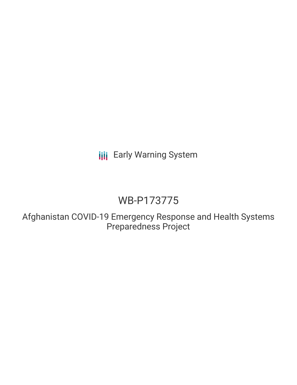**III** Early Warning System

# WB-P173775

Afghanistan COVID-19 Emergency Response and Health Systems Preparedness Project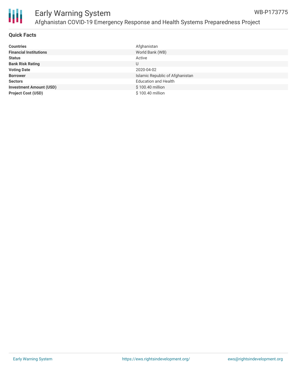

| <b>Countries</b>               | Afghanistan                     |
|--------------------------------|---------------------------------|
| <b>Financial Institutions</b>  | World Bank (WB)                 |
| <b>Status</b>                  | Active                          |
| <b>Bank Risk Rating</b>        | U                               |
| <b>Voting Date</b>             | 2020-04-02                      |
| <b>Borrower</b>                | Islamic Republic of Afghanistan |
| <b>Sectors</b>                 | <b>Education and Health</b>     |
| <b>Investment Amount (USD)</b> | \$100.40 million                |
| <b>Project Cost (USD)</b>      | \$100.40 million                |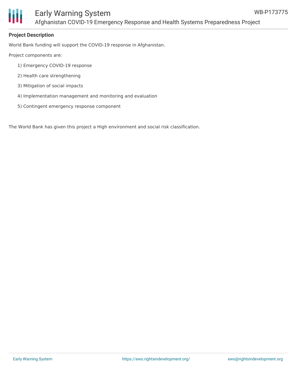

### **Project Description**

World Bank funding will support the COVID-19 response in Afghanistan.

Project components are:

- 1) Emergency COVID-19 response
- 2) Health care strengthening
- 3) Mitigation of social impacts
- 4) Implementation management and monitoring and evaluation
- 5) Contingent emergency response component

The World Bank has given this project a High environment and social risk classification.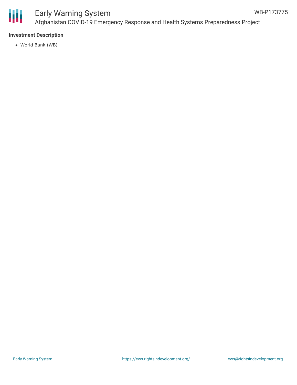

## **Investment Description**

World Bank (WB)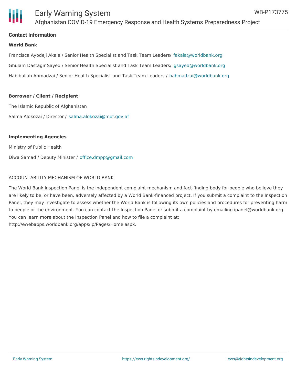

#### **Contact Information**

#### **World Bank**

Francisca Ayodeji Akala / Senior Health Specialist and Task Team Leaders/ [fakala@worldbank.org](mailto:fakala@worldbank.org) Ghulam Dastagir Sayed / Senior Health Specialist and Task Team Leaders/ [gsayed@worldbank,org](mailto:gsayed@worldbank,org) Habibullah Ahmadzai / Senior Health Specialist and Task Team Leaders / [hahmadzai@worldbank.org](mailto:hahmadzai@worldbank.org)

#### **Borrower / Client / Recipient**

The Islamic Republic of Afghanistan Salma Alokozai / Director / [salma.alokozai@mof.gov.af](mailto:salma.alokozai@mof.gov.af)

#### **Implementing Agencies**

Ministry of Public Health Diwa Samad / Deputy Minister / [office.dmpp@gmail.com](mailto:office.dmpp@gmail.com)

#### ACCOUNTABILITY MECHANISM OF WORLD BANK

The World Bank Inspection Panel is the independent complaint mechanism and fact-finding body for people who believe they are likely to be, or have been, adversely affected by a World Bank-financed project. If you submit a complaint to the Inspection Panel, they may investigate to assess whether the World Bank is following its own policies and procedures for preventing harm to people or the environment. You can contact the Inspection Panel or submit a complaint by emailing ipanel@worldbank.org. You can learn more about the Inspection Panel and how to file a complaint at: http://ewebapps.worldbank.org/apps/ip/Pages/Home.aspx.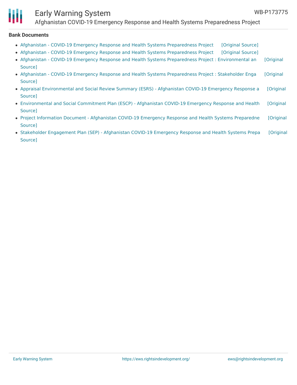

# Early Warning System

Afghanistan COVID-19 Emergency Response and Health Systems Preparedness Project

#### **Bank Documents**

- Afghanistan COVID-19 Emergency Response and Health Systems [Preparedness](https://ewsdata.rightsindevelopment.org/files/documents/75/WB-P173775_sVWF5pz.pdf) Project [\[Original](http://documents.worldbank.org/curated/en/279251584299018111/pdf/Afghanistan-COVID-19-Emergency-Response-and-Health-Systems-Preparedness-Project.pdf) Source]
- Afghanistan COVID-19 Emergency Response and Health Systems [Preparedness](https://ewsdata.rightsindevelopment.org/files/documents/75/WB-P173775_OJ3tSm4.pdf) Project [\[Original](http://documents.worldbank.org/curated/en/964531585951138972/pdf/Afghanistan-COVID-19-Emergency-Response-and-Health-Systems-Preparedness-Project.pdf) Source]
- Afghanistan COVID-19 Emergency Response and Health Systems Preparedness Project : [Environmental](https://ewsdata.rightsindevelopment.org/files/documents/75/WB-P173775_FF59zfk.pdf) an [Original Source]
- Afghanistan COVID-19 Emergency Response and Health Systems [Preparedness](https://ewsdata.rightsindevelopment.org/files/documents/75/WB-P173775_DMj15ht.pdf) Project : Stakeholder Enga [Original Source]
- Appraisal [Environmental](https://ewsdata.rightsindevelopment.org/files/documents/75/WB-P173775_0wiNN0e.pdf) and Social Review Summary (ESRS) Afghanistan COVID-19 Emergency Response a [Original Source]
- [Environmental](https://ewsdata.rightsindevelopment.org/files/documents/75/WB-P173775_uQl6Day.pdf) and Social Commitment Plan (ESCP) Afghanistan COVID-19 Emergency Response and Health [Original Source]
- Project Information Document [Afghanistan](https://ewsdata.rightsindevelopment.org/files/documents/75/WB-P173775.pdf) COVID-19 Emergency Response and Health Systems Preparedne [Original Source]
- Stakeholder [Engagement](https://ewsdata.rightsindevelopment.org/files/documents/75/WB-P173775_U6u5AIA.pdf) Plan (SEP) Afghanistan COVID-19 Emergency Response and Health Systems Prepa [Original Source]